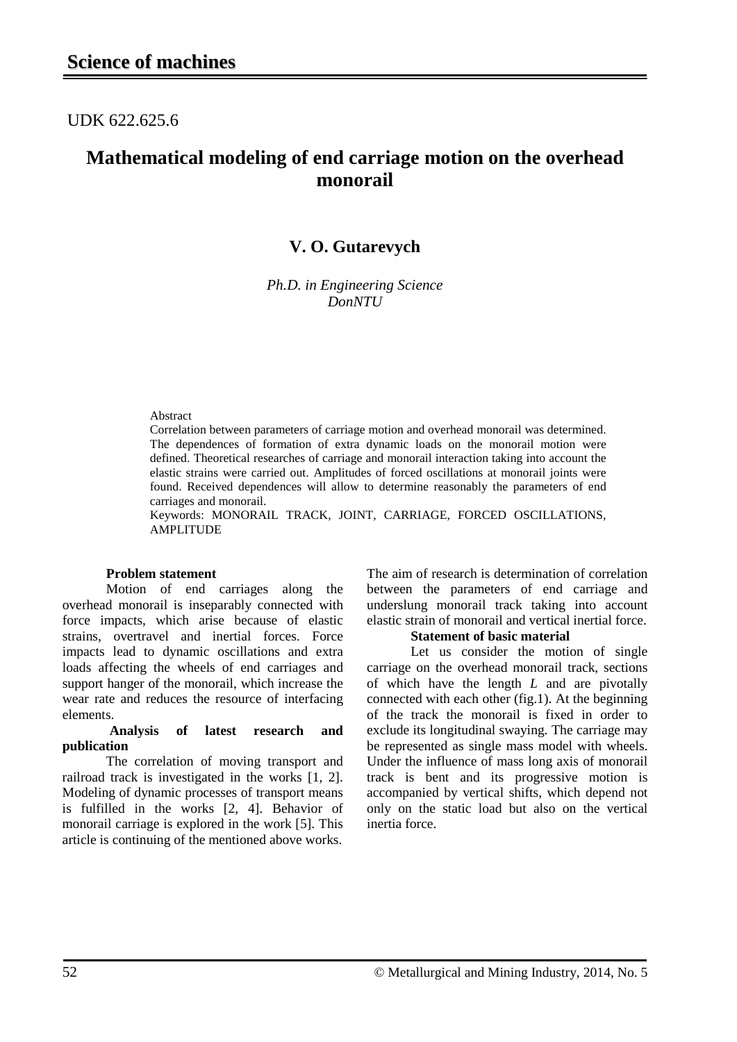## UDK 622.625.6

# **Mathematical modeling of end carriage motion on the overhead monorail**

### **V. O. Gutarevych**

*Ph.D. in Engineering Science DonNTU*

#### Abstract

Correlation between parameters of carriage motion and overhead monorail was determined. The dependences of formation of extra dynamic loads on the monorail motion were defined. Theoretical researches of carriage and monorail interaction taking into account the elastic strains were carried out. Amplitudes of forced oscillations at monorail joints were found. Received dependences will allow to determine reasonably the parameters of end carriages and monorail.

Keywords: MONORAIL TRACK, JOINT, CARRIAGE, FORCED OSCILLATIONS, AMPLITUDE

#### **Problem statement**

Motion of end carriages along the overhead monorail is inseparably connected with force impacts, which arise because of elastic strains, overtravel and inertial forces. Force impacts lead to dynamic oscillations and extra loads affecting the wheels of end carriages and support hanger of the monorail, which increase the wear rate and reduces the resource of interfacing elements.

#### **Analysis of latest research and publication**

The correlation of moving transport and railroad track is investigated in the works [1, 2]. Modeling of dynamic processes of transport means is fulfilled in the works [2, 4]. Behavior of monorail carriage is explored in the work [5]. This article is continuing of the mentioned above works.

The aim of research is determination of correlation between the parameters of end carriage and underslung monorail track taking into account elastic strain of monorail and vertical inertial force.

#### **Statement of basic material**

Let us consider the motion of single carriage on the overhead monorail track, sections of which have the length *L* and are pivotally connected with each other (fig.1). At the beginning of the track the monorail is fixed in order to exclude its longitudinal swaying. The carriage may be represented as single mass model with wheels. Under the influence of mass long axis of monorail track is bent and its progressive motion is accompanied by vertical shifts, which depend not only on the static load but also on the vertical inertia force.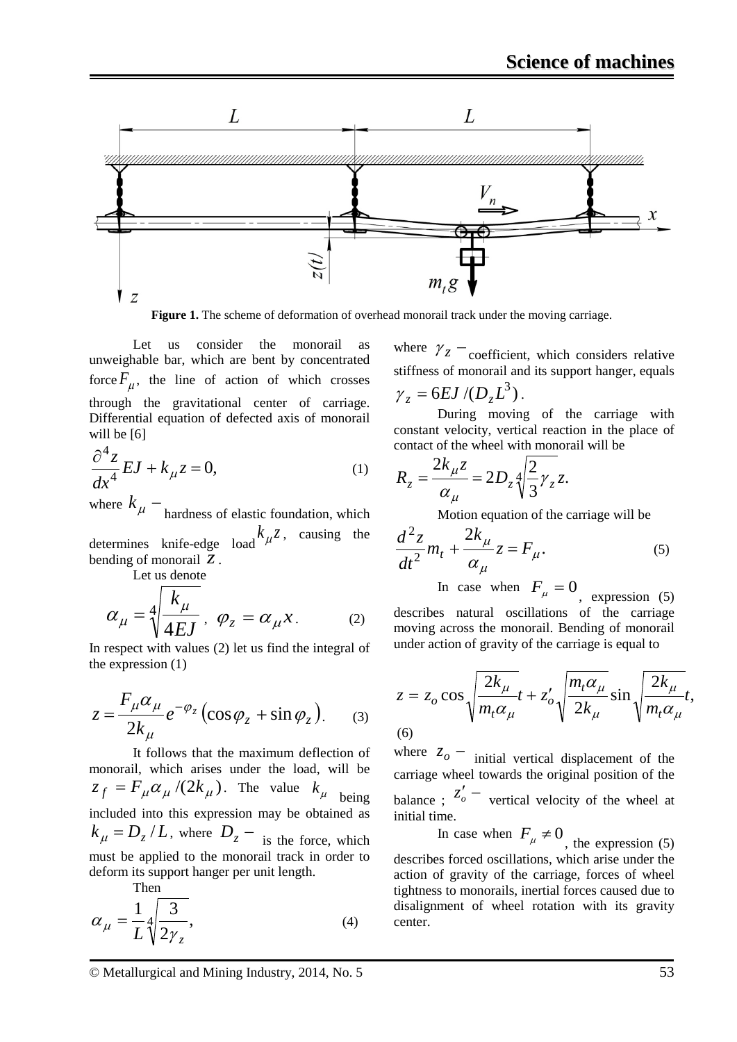

**Figure 1.** The scheme of deformation of overhead monorail track under the moving carriage.

Let us consider the monorail as unweighable bar, which are bent by concentrated force  $F_{\mu}$ , the line of action of which crosses through the gravitational center of carriage. Differential equation of defected axis of monorail will be [6]

$$
\frac{\partial^4 z}{\partial x^4} EJ + k_{\mu} z = 0, \tag{1}
$$

where  $k_{\mu}$  – hardness of elastic foundation, which determines knife-edge load  $k_{\mu}z$ , causing the bending of monorail *z*.

Let us denote

$$
\alpha_{\mu} = \sqrt[4]{\frac{k_{\mu}}{4EJ}}, \ \varphi_{z} = \alpha_{\mu} x. \qquad (2)
$$

In respect with values (2) let us find the integral of the expression (1)

$$
z = \frac{F_{\mu}\alpha_{\mu}}{2k_{\mu}}e^{-\varphi_{z}}\left(\cos\varphi_{z} + \sin\varphi_{z}\right). \qquad (3)
$$

It follows that the maximum deflection of monorail, which arises under the load, will be  $z_f = F_\mu \alpha_\mu / (2 k_\mu)$ . The value  $k_\mu$  being included into this expression may be obtained as  $k_{\mu} = D_z / L$ , where  $D_z - i$  is the force, which must be applied to the monorail track in order to deform its support hanger per unit length. Then

$$
\alpha_{\mu} = \frac{1}{L} \sqrt[4]{\frac{3}{2\gamma_{z}}},\tag{4}
$$

where  $\gamma_z$  – coefficient, which considers relative stiffness of monorail and its support hanger, equals

$$
\gamma_z = 6EJ/(D_zL^3).
$$

During moving of the carriage with constant velocity, vertical reaction in the place of contact of the wheel with monorail will be

$$
R_z = \frac{2k_{\mu}z}{\alpha_{\mu}} = 2D_z \sqrt[4]{\frac{2}{3}\gamma_z z}.
$$

Motion equation of the carriage will be

$$
\frac{d^2z}{dt^2}m_t + \frac{2k_\mu}{\alpha_\mu}z = F_\mu.
$$
 (5)

In case when  $F_{\mu} = 0$ , expression (5) describes natural oscillations of the carriage moving across the monorail. Bending of monorail under action of gravity of the carriage is equal to

$$
z = z_o \cos \sqrt{\frac{2k_{\mu}}{m_t \alpha_{\mu}}} t + z'_o \sqrt{\frac{m_t \alpha_{\mu}}{2k_{\mu}}} \sin \sqrt{\frac{2k_{\mu}}{m_t \alpha_{\mu}}} t,
$$
\n(6)

where  $z_o$  – initial vertical displacement of the carriage wheel towards the original position of the balance ;  $z'_o$  – vertical velocity of the wheel at initial time.

In case when  $F_{\mu} \neq 0$ , the expression (5) describes forced oscillations, which arise under the action of gravity of the carriage, forces of wheel tightness to monorails, inertial forces caused due to disalignment of wheel rotation with its gravity center.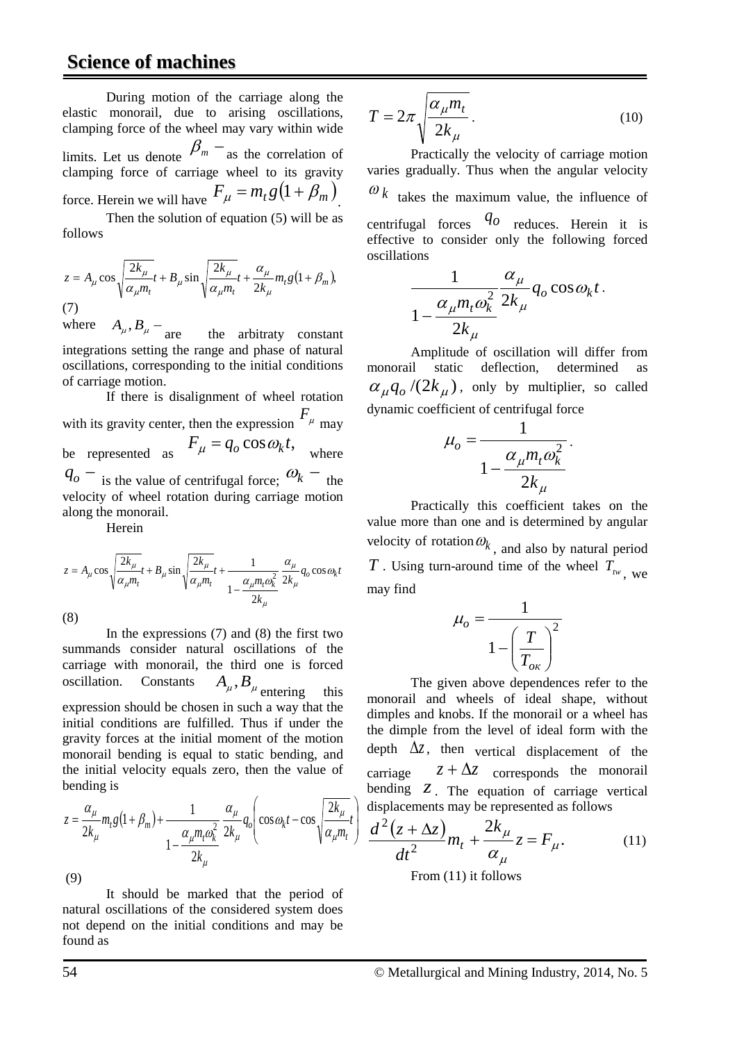# **Science of machines**

During motion of the carriage along the elastic monorail, due to arising oscillations, clamping force of the wheel may vary within wide limits. Let us denote  $\beta_m$  – as the correlation of clamping force of carriage wheel to its gravity force. Herein we will have  $F_{\mu} = m_t g (1 + \overline{\beta_m})^2$ Then the solution of equation (5) will be as follows

$$
z = A_{\mu} \cos \sqrt{\frac{2k_{\mu}}{\alpha_{\mu}m_t}}t + B_{\mu} \sin \sqrt{\frac{2k_{\mu}}{\alpha_{\mu}m_t}}t + \frac{\alpha_{\mu}}{2k_{\mu}}m_t g(1 + \beta_m),
$$
  
(7)  
where  $A_{\mu}R_{\mu} =$ 

where  $A_\mu$ ,  $B_\mu$  – are the arbitraty constant integrations setting the range and phase of natural oscillations, corresponding to the initial conditions of carriage motion.

If there is disalignment of wheel rotation with its gravity center, then the expression  $F_{\mu}$  may be represented as  $F_{\mu} = q_o \cos \omega_k t$ , where be represented as  $r_{\mu} = q_o \cos \omega_k t$ , where  $q_o - i_s$  the value of centrifugal force;  $\omega_k$  – the velocity of wheel rotation during carriage motion along the monorail.

Herein

$$
z = A_{\mu} \cos \sqrt{\frac{2k_{\mu}}{\alpha_{\mu}m_{t}}}t + B_{\mu} \sin \sqrt{\frac{2k_{\mu}}{\alpha_{\mu}m_{t}}}t + \frac{1}{1 - \frac{\alpha_{\mu}m_{t}\omega_{k}^{2}}{2k_{\mu}}} \frac{\alpha_{\mu}}{2k_{\mu}} q_{o} \cos \omega_{k}t
$$
\n(8)

In the expressions  $(7)$  and  $(8)$  the first two summands consider natural oscillations of the carriage with monorail, the third one is forced oscillation. Constants  $A_{\mu}$ ,  $B_{\mu}$  entering this expression should be chosen in such a way that the initial conditions are fulfilled. Thus if under the gravity forces at the initial moment of the motion monorail bending is equal to static bending, and the initial velocity equals zero, then the value of bending is

$$
z = \frac{\alpha_{\mu}}{2k_{\mu}} m_t g \left( 1 + \beta_m \right) + \frac{1}{1 - \frac{\alpha_{\mu} m_t \omega_k^2}{2k_{\mu}}} \frac{\alpha_{\mu}}{2k_{\mu}} q_o \left( \cos \omega_k t - \cos \sqrt{\frac{2k_{\mu}}{\alpha_{\mu} m_t}} t \right)
$$

(9)

It should be marked that the period of natural oscillations of the considered system does not depend on the initial conditions and may be found as

$$
T = 2\pi \sqrt{\frac{\alpha_{\mu} m_t}{2k_{\mu}}}.
$$
 (10)

Practically the velocity of carriage motion varies gradually. Thus when the angular velocity

 $\omega_k$  takes the maximum value, the influence of

centrifugal forces  $q_0$  reduces. Herein it is effective to consider only the following forced oscillations

$$
\frac{1}{1 - \frac{\alpha_{\mu} m_t \omega_k^2}{2k_{\mu}}} \frac{\alpha_{\mu}}{2k_{\mu}} q_o \cos \omega_k t.
$$

Amplitude of oscillation will differ from monorail static deflection, determined as  $\alpha_{\mu}q_o/(2k_{\mu})$ , only by multiplier, so called dynamic coefficient of centrifugal force

$$
\mu_o = \frac{1}{1 - \frac{\alpha_\mu m_t \omega_k^2}{2k_\mu}}.
$$

Practically this coefficient takes on the value more than one and is determined by angular velocity of rotation  $\omega_k$ , and also by natural period *T* . Using turn-around time of the wheel  $T_{tw}$ , we may find

$$
\mu_o = \frac{1}{1 - \left(\frac{T}{T_{o\kappa}}\right)^2}
$$

The given above dependences refer to the monorail and wheels of ideal shape, without dimples and knobs. If the monorail or a wheel has the dimple from the level of ideal form with the depth ∆*z*, then vertical displacement of the carriage  $z + \Delta z$  corresponds the monorail bending *z*. The equation of carriage vertical displacements may be represented as follows

$$
\frac{d^2(z + \Delta z)}{dt^2} m_t + \frac{2k_\mu}{\alpha_\mu} z = F_\mu.
$$
 (11)  
From (11) it follows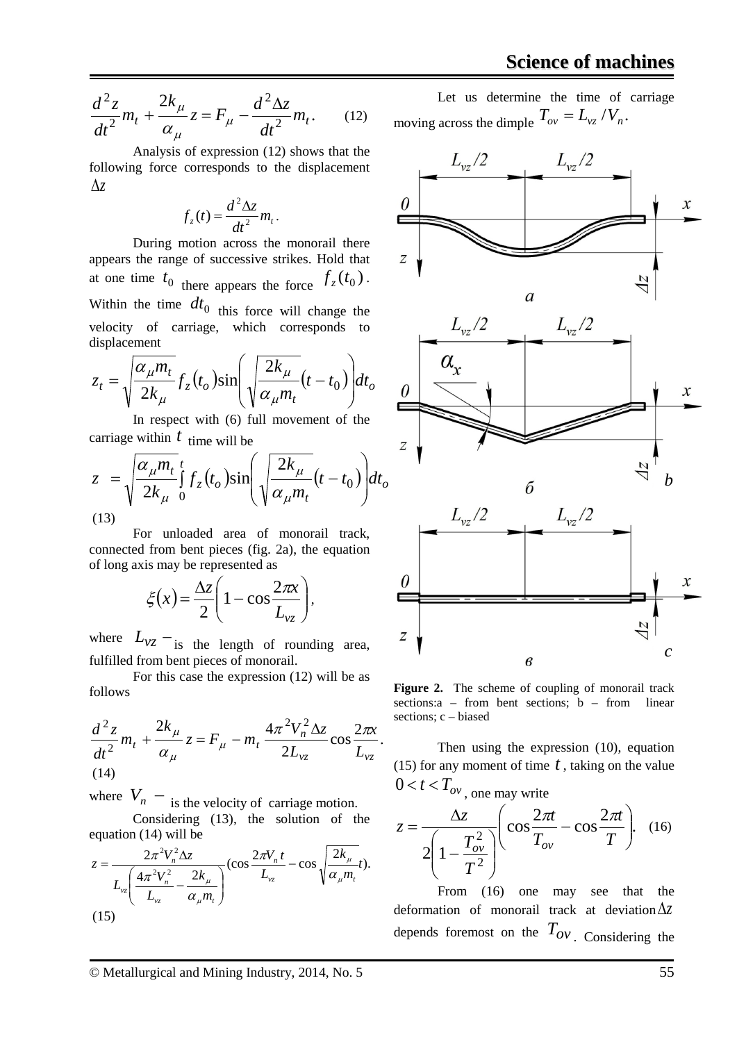$$
\frac{d^2z}{dt^2}m_t + \frac{2k_\mu}{\alpha_\mu}z = F_\mu - \frac{d^2\Delta z}{dt^2}m_t.
$$
 (12)

Analysis of expression (12) shows that the following force corresponds to the displacement ∆*z*

$$
f_z(t) = \frac{d^2 \Delta z}{dt^2} m_t.
$$

During motion across the monorail there appears the range of successive strikes. Hold that at one time  $t_0$  there appears the force  $f_z(t_0)$ . Within the time  $dt_0$  this force will change the velocity of carriage, which corresponds to displacement

$$
z_t = \sqrt{\frac{\alpha_{\mu} m_t}{2k_{\mu}}} f_z(t_o) \sin\left(\sqrt{\frac{2k_{\mu}}{\alpha_{\mu} m_t}}(t - t_0)\right) dt_o
$$

In respect with (6) full movement of the carriage within  $t$  time will be

$$
z = \sqrt{\frac{\alpha_{\mu} m_t}{2k_{\mu}}} \int_{0}^{t} f_z(t_o) \sin\left(\sqrt{\frac{2k_{\mu}}{\alpha_{\mu} m_t}}(t - t_0)\right) dt_o
$$
\n(13)

For unloaded area of monorail track, connected from bent pieces (fig. 2a), the equation of long axis may be represented as

$$
\xi(x) = \frac{\Delta z}{2} \left( 1 - \cos \frac{2\pi x}{L_{vz}} \right),
$$

where  $L_{vz}$  –<sub>is the length of rounding area,</sub> fulfilled from bent pieces of monorail.

For this case the expression (12) will be as follows

$$
\frac{d^2 z}{dt^2} m_t + \frac{2k_\mu}{\alpha_\mu} z = F_\mu - m_t \frac{4\pi^2 V_n^2 \Delta z}{2L_{vz}} \cos \frac{2\pi x}{L_{vz}}.
$$
\n(14)

where  $V_n$  – is the velocity of carriage motion. Considering (13), the solution of the equation (14) will be

$$
z = \frac{2\pi^2 V_n^2 \Delta z}{L_{vz} \left(\frac{4\pi^2 V_n^2}{L_{vz}} - \frac{2k_\mu}{\alpha_\mu m_t}\right)} (\cos \frac{2\pi V_n t}{L_{vz}} - \cos \sqrt{\frac{2k_\mu}{\alpha_\mu m_t}} t).
$$
\n(15)

Let us determine the time of carriage moving across the dimple  $T_{ov} = L_{vz} / V_n$ .



Figure 2. The scheme of coupling of monorail track sections: $a$  – from bent sections;  $b$  – from linear sections; c – biased

Then using the expression (10), equation (15) for any moment of time *t* , taking on the value  $0 < t < T_{ov}$ , one may write

$$
z = \frac{\Delta z}{2\left(1 - \frac{T_{ov}^2}{T^2}\right)} \left(\cos\frac{2\pi t}{T_{ov}} - \cos\frac{2\pi t}{T}\right). \quad (16)
$$

From (16) one may see that the deformation of monorail track at deviation∆*z* depends foremost on the  $T_{ov}$ . Considering the

© Metallurgical and Mining Industry, 2014, No. 5 55